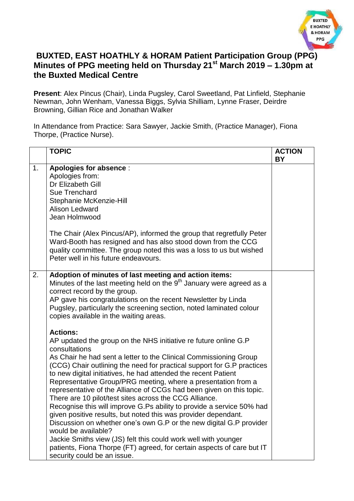

## **BUXTED, EAST HOATHLY & HORAM Patient Participation Group (PPG) Minutes of PPG meeting held on Thursday 21st March 2019 – 1.30pm at the Buxted Medical Centre**

**Present**: Alex Pincus (Chair), Linda Pugsley, Carol Sweetland, Pat Linfield, Stephanie Newman, John Wenham, Vanessa Biggs, Sylvia Shilliam, Lynne Fraser, Deirdre Browning, Gillian Rice and Jonathan Walker

In Attendance from Practice: Sara Sawyer, Jackie Smith, (Practice Manager), Fiona Thorpe, (Practice Nurse).

|    | <b>TOPIC</b>                                                                                                                                                                                                                                                                                                                                                                                                                                                                                                                                                                                                                                                                                                                                                                                                                                                                                                                                | <b>ACTION</b><br><b>BY</b> |
|----|---------------------------------------------------------------------------------------------------------------------------------------------------------------------------------------------------------------------------------------------------------------------------------------------------------------------------------------------------------------------------------------------------------------------------------------------------------------------------------------------------------------------------------------------------------------------------------------------------------------------------------------------------------------------------------------------------------------------------------------------------------------------------------------------------------------------------------------------------------------------------------------------------------------------------------------------|----------------------------|
| 1. | Apologies for absence :<br>Apologies from:<br>Dr Elizabeth Gill<br>Sue Trenchard<br>Stephanie McKenzie-Hill<br><b>Alison Ledward</b><br>Jean Holmwood<br>The Chair (Alex Pincus/AP), informed the group that regretfully Peter                                                                                                                                                                                                                                                                                                                                                                                                                                                                                                                                                                                                                                                                                                              |                            |
|    | Ward-Booth has resigned and has also stood down from the CCG<br>quality committee. The group noted this was a loss to us but wished<br>Peter well in his future endeavours.                                                                                                                                                                                                                                                                                                                                                                                                                                                                                                                                                                                                                                                                                                                                                                 |                            |
| 2. | Adoption of minutes of last meeting and action items:<br>Minutes of the last meeting held on the $9th$ January were agreed as a<br>correct record by the group.<br>AP gave his congratulations on the recent Newsletter by Linda<br>Pugsley, particularly the screening section, noted laminated colour<br>copies available in the waiting areas.                                                                                                                                                                                                                                                                                                                                                                                                                                                                                                                                                                                           |                            |
|    | <b>Actions:</b><br>AP updated the group on the NHS initiative re future online G.P<br>consultations<br>As Chair he had sent a letter to the Clinical Commissioning Group<br>(CCG) Chair outlining the need for practical support for G.P practices<br>to new digital initiatives, he had attended the recent Patient<br>Representative Group/PRG meeting, where a presentation from a<br>representative of the Alliance of CCGs had been given on this topic.<br>There are 10 pilot/test sites across the CCG Alliance.<br>Recognise this will improve G.Ps ability to provide a service 50% had<br>given positive results, but noted this was provider dependant.<br>Discussion on whether one's own G.P or the new digital G.P provider<br>would be available?<br>Jackie Smiths view (JS) felt this could work well with younger<br>patients, Fiona Thorpe (FT) agreed, for certain aspects of care but IT<br>security could be an issue. |                            |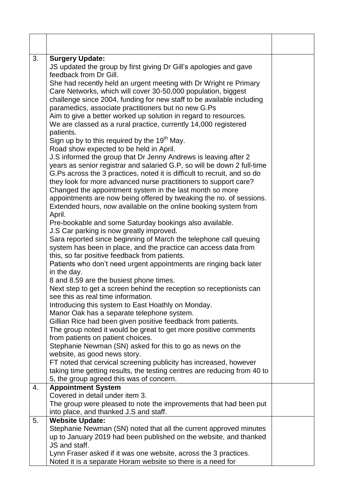| 3. | <b>Surgery Update:</b><br>JS updated the group by first giving Dr Gill's apologies and gave<br>feedback from Dr Gill.<br>She had recently held an urgent meeting with Dr Wright re Primary<br>Care Networks, which will cover 30-50,000 population, biggest<br>challenge since 2004, funding for new staff to be available including<br>paramedics, associate practitioners but no new G.Ps<br>Aim to give a better worked up solution in regard to resources.<br>We are classed as a rural practice, currently 14,000 registered<br>patients.<br>Sign up by to this required by the 19 <sup>th</sup> May.<br>Road show expected to be held in April.<br>J.S informed the group that Dr Jenny Andrews is leaving after 2<br>years as senior registrar and salaried G.P, so will be down 2 full-time<br>G.Ps across the 3 practices, noted it is difficult to recruit, and so do<br>they look for more advanced nurse practitioners to support care?<br>Changed the appointment system in the last month so more<br>appointments are now being offered by tweaking the no. of sessions.<br>Extended hours, now available on the online booking system from<br>April. |  |
|----|---------------------------------------------------------------------------------------------------------------------------------------------------------------------------------------------------------------------------------------------------------------------------------------------------------------------------------------------------------------------------------------------------------------------------------------------------------------------------------------------------------------------------------------------------------------------------------------------------------------------------------------------------------------------------------------------------------------------------------------------------------------------------------------------------------------------------------------------------------------------------------------------------------------------------------------------------------------------------------------------------------------------------------------------------------------------------------------------------------------------------------------------------------------------|--|
|    | Pre-bookable and some Saturday bookings also available.<br>J.S Car parking is now greatly improved.<br>Sara reported since beginning of March the telephone call queuing<br>system has been in place, and the practice can access data from<br>this, so far positive feedback from patients.<br>Patients who don't need urgent appointments are ringing back later<br>in the day.                                                                                                                                                                                                                                                                                                                                                                                                                                                                                                                                                                                                                                                                                                                                                                                   |  |
|    | 8 and 8.59 are the busiest phone times.<br>Next step to get a screen behind the reception so receptionists can<br>see this as real time information.<br>Introducing this system to East Hoathly on Monday.<br>Manor Oak has a separate telephone system.<br>Gillian Rice had been given positive feedback from patients.<br>The group noted it would be great to get more positive comments<br>from patients on patient choices.<br>Stephanie Newman (SN) asked for this to go as news on the<br>website, as good news story.<br>FT noted that cervical screening publicity has increased, however<br>taking time getting results, the testing centres are reducing from 40 to<br>5, the group agreed this was of concern.                                                                                                                                                                                                                                                                                                                                                                                                                                          |  |
| 4. | <b>Appointment System</b><br>Covered in detail under item 3.<br>The group were pleased to note the improvements that had been put<br>into place, and thanked J.S and staff.                                                                                                                                                                                                                                                                                                                                                                                                                                                                                                                                                                                                                                                                                                                                                                                                                                                                                                                                                                                         |  |
| 5. | <b>Website Update:</b><br>Stephanie Newman (SN) noted that all the current approved minutes<br>up to January 2019 had been published on the website, and thanked<br>JS and staff.<br>Lynn Fraser asked if it was one website, across the 3 practices.<br>Noted it is a separate Horam website so there is a need for                                                                                                                                                                                                                                                                                                                                                                                                                                                                                                                                                                                                                                                                                                                                                                                                                                                |  |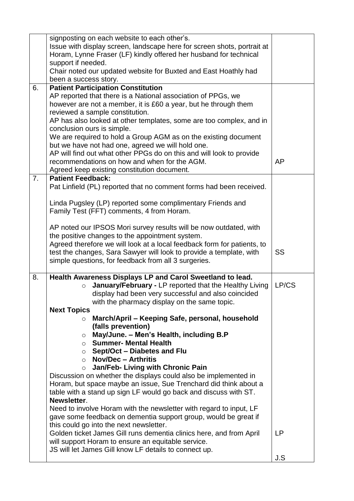|                | signposting on each website to each other's.<br>Issue with display screen, landscape here for screen shots, portrait at<br>Horam, Lynne Fraser (LF) kindly offered her husband for technical<br>support if needed.<br>Chair noted our updated website for Buxted and East Hoathly had<br>been a success story. |           |
|----------------|----------------------------------------------------------------------------------------------------------------------------------------------------------------------------------------------------------------------------------------------------------------------------------------------------------------|-----------|
| 6.             | <b>Patient Participation Constitution</b>                                                                                                                                                                                                                                                                      |           |
|                | AP reported that there is a National association of PPGs, we                                                                                                                                                                                                                                                   |           |
|                | however are not a member, it is £60 a year, but he through them                                                                                                                                                                                                                                                |           |
|                | reviewed a sample constitution.                                                                                                                                                                                                                                                                                |           |
|                | AP has also looked at other templates, some are too complex, and in                                                                                                                                                                                                                                            |           |
|                | conclusion ours is simple.                                                                                                                                                                                                                                                                                     |           |
|                | We are required to hold a Group AGM as on the existing document                                                                                                                                                                                                                                                |           |
|                | but we have not had one, agreed we will hold one.                                                                                                                                                                                                                                                              |           |
|                | AP will find out what other PPGs do on this and will look to provide                                                                                                                                                                                                                                           |           |
|                | recommendations on how and when for the AGM.                                                                                                                                                                                                                                                                   | AP        |
|                | Agreed keep existing constitution document.                                                                                                                                                                                                                                                                    |           |
| 7 <sub>1</sub> | <b>Patient Feedback:</b>                                                                                                                                                                                                                                                                                       |           |
|                | Pat Linfield (PL) reported that no comment forms had been received.                                                                                                                                                                                                                                            |           |
|                |                                                                                                                                                                                                                                                                                                                |           |
|                | Linda Pugsley (LP) reported some complimentary Friends and                                                                                                                                                                                                                                                     |           |
|                | Family Test (FFT) comments, 4 from Horam.                                                                                                                                                                                                                                                                      |           |
|                |                                                                                                                                                                                                                                                                                                                |           |
|                | AP noted our IPSOS Mori survey results will be now outdated, with<br>the positive changes to the appointment system.                                                                                                                                                                                           |           |
|                | Agreed therefore we will look at a local feedback form for patients, to                                                                                                                                                                                                                                        |           |
|                | test the changes, Sara Sawyer will look to provide a template, with                                                                                                                                                                                                                                            | SS        |
|                | simple questions, for feedback from all 3 surgeries.                                                                                                                                                                                                                                                           |           |
|                |                                                                                                                                                                                                                                                                                                                |           |
| 8.             | Health Awareness Displays LP and Carol Sweetland to lead.                                                                                                                                                                                                                                                      |           |
|                | January/February - LP reported that the Healthy Living<br>$\circ$                                                                                                                                                                                                                                              | LP/CS     |
|                | display had been very successful and also coincided                                                                                                                                                                                                                                                            |           |
|                | with the pharmacy display on the same topic.                                                                                                                                                                                                                                                                   |           |
|                | <b>Next Topics</b>                                                                                                                                                                                                                                                                                             |           |
|                | March/April – Keeping Safe, personal, household<br>$\circ$                                                                                                                                                                                                                                                     |           |
|                | (falls prevention)                                                                                                                                                                                                                                                                                             |           |
|                | May/June. - Men's Health, including B.P<br>$\circ$<br>$\circ$ Summer- Mental Health                                                                                                                                                                                                                            |           |
|                | $\circ$ Sept/Oct – Diabetes and Flu                                                                                                                                                                                                                                                                            |           |
|                | $\circ$ Nov/Dec – Arthritis                                                                                                                                                                                                                                                                                    |           |
|                | Jan/Feb- Living with Chronic Pain<br>$\circ$                                                                                                                                                                                                                                                                   |           |
|                | Discussion on whether the displays could also be implemented in                                                                                                                                                                                                                                                |           |
|                | Horam, but space maybe an issue, Sue Trenchard did think about a                                                                                                                                                                                                                                               |           |
|                | table with a stand up sign LF would go back and discuss with ST.                                                                                                                                                                                                                                               |           |
|                | Newsletter.                                                                                                                                                                                                                                                                                                    |           |
|                | Need to involve Horam with the newsletter with regard to input, LF                                                                                                                                                                                                                                             |           |
|                | gave some feedback on dementia support group, would be great if                                                                                                                                                                                                                                                |           |
|                | this could go into the next newsletter.                                                                                                                                                                                                                                                                        |           |
|                | Golden ticket James Gill runs dementia clinics here, and from April                                                                                                                                                                                                                                            | <b>LP</b> |
|                | will support Horam to ensure an equitable service.                                                                                                                                                                                                                                                             |           |
|                | JS will let James Gill know LF details to connect up.                                                                                                                                                                                                                                                          |           |
|                |                                                                                                                                                                                                                                                                                                                | J.S       |